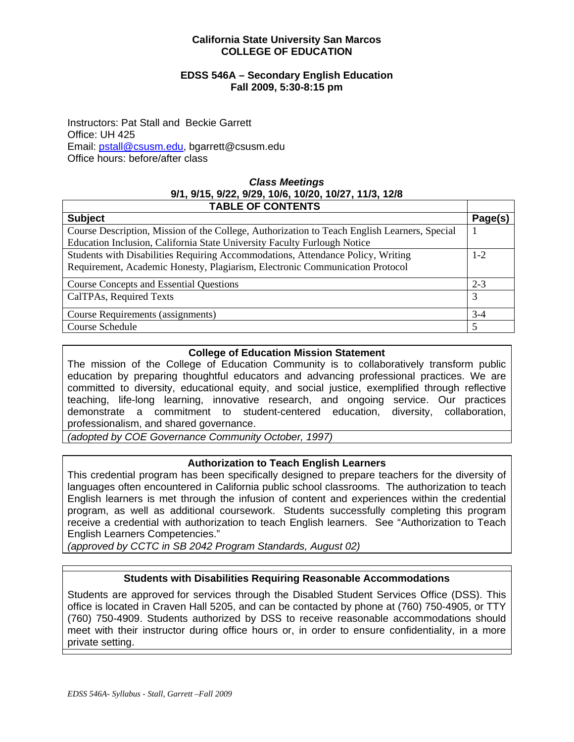#### **California State University San Marcos COLLEGE OF EDUCATION**

#### **EDSS 546A – Secondary English Education Fall 2009, 5:30-8:15 pm**

Instructors: Pat Stall and Beckie Garrett Office: UH 425 Email: pstall@csusm.edu, bgarrett@csusm.edu Office hours: before/after class

# *Class Meetings*  **9/1, 9/15, 9/22, 9/29, 10/6, 10/20, 10/27, 11/3, 12/8**

| <b>TABLE OF CONTENTS</b>                                                                     |         |  |  |  |
|----------------------------------------------------------------------------------------------|---------|--|--|--|
| <b>Subject</b>                                                                               | Page(s) |  |  |  |
| Course Description, Mission of the College, Authorization to Teach English Learners, Special |         |  |  |  |
| Education Inclusion, California State University Faculty Furlough Notice                     |         |  |  |  |
| Students with Disabilities Requiring Accommodations, Attendance Policy, Writing              |         |  |  |  |
| Requirement, Academic Honesty, Plagiarism, Electronic Communication Protocol                 |         |  |  |  |
| <b>Course Concepts and Essential Questions</b>                                               | $2 - 3$ |  |  |  |
| CalTPAs, Required Texts                                                                      | 3       |  |  |  |
| Course Requirements (assignments)                                                            | $3-4$   |  |  |  |
| Course Schedule                                                                              | 5       |  |  |  |

## **College of Education Mission Statement**

The mission of the College of Education Community is to collaboratively transform public education by preparing thoughtful educators and advancing professional practices. We are committed to diversity, educational equity, and social justice, exemplified through reflective teaching, life-long learning, innovative research, and ongoing service. Our practices demonstrate a commitment to student-centered education, diversity, collaboration, professionalism, and shared governance.

*(adopted by COE Governance Community October, 1997)* 

## **Authorization to Teach English Learners**

This credential program has been specifically designed to prepare teachers for the diversity of languages often encountered in California public school classrooms. The authorization to teach English learners is met through the infusion of content and experiences within the credential program, as well as additional coursework. Students successfully completing this program receive a credential with authorization to teach English learners. See "Authorization to Teach English Learners Competencies."

*(approved by CCTC in SB 2042 Program Standards, August 02)* 

# **Students with Disabilities Requiring Reasonable Accommodations**

Students are approved for services through the Disabled Student Services Office (DSS). This office is located in Craven Hall 5205, and can be contacted by phone at (760) 750-4905, or TTY (760) 750-4909. Students authorized by DSS to receive reasonable accommodations should meet with their instructor during office hours or, in order to ensure confidentiality, in a more private setting.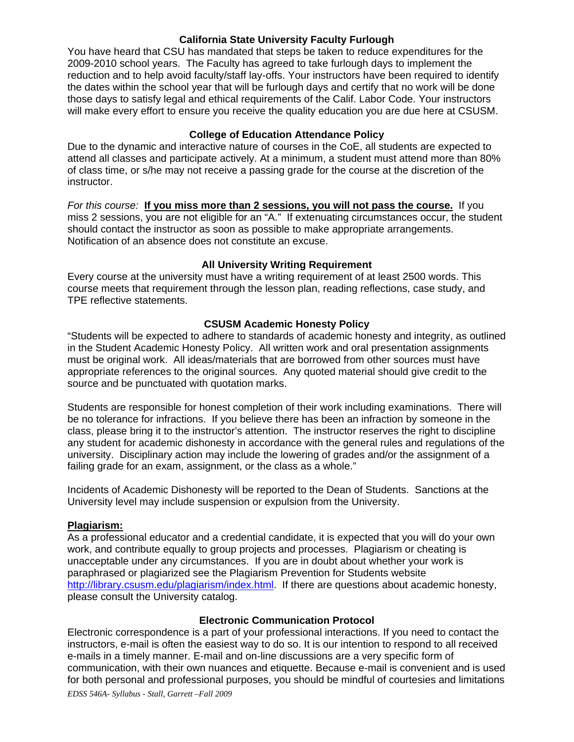#### **California State University Faculty Furlough**

You have heard that CSU has mandated that steps be taken to reduce expenditures for the 2009-2010 school years. The Faculty has agreed to take furlough days to implement the reduction and to help avoid faculty/staff lay-offs. Your instructors have been required to identify the dates within the school year that will be furlough days and certify that no work will be done those days to satisfy legal and ethical requirements of the Calif. Labor Code. Your instructors will make every effort to ensure you receive the quality education you are due here at CSUSM.

## **College of Education Attendance Policy**

Due to the dynamic and interactive nature of courses in the CoE, all students are expected to attend all classes and participate actively. At a minimum, a student must attend more than 80% of class time, or s/he may not receive a passing grade for the course at the discretion of the instructor.

*For this course:* **If you miss more than 2 sessions, you will not pass the course.** If you miss 2 sessions, you are not eligible for an "A." If extenuating circumstances occur, the student should contact the instructor as soon as possible to make appropriate arrangements. Notification of an absence does not constitute an excuse.

#### **All University Writing Requirement**

Every course at the university must have a writing requirement of at least 2500 words. This course meets that requirement through the lesson plan, reading reflections, case study, and TPE reflective statements.

#### **CSUSM Academic Honesty Policy**

"Students will be expected to adhere to standards of academic honesty and integrity, as outlined in the Student Academic Honesty Policy. All written work and oral presentation assignments must be original work. All ideas/materials that are borrowed from other sources must have appropriate references to the original sources. Any quoted material should give credit to the source and be punctuated with quotation marks.

Students are responsible for honest completion of their work including examinations. There will be no tolerance for infractions. If you believe there has been an infraction by someone in the class, please bring it to the instructor's attention. The instructor reserves the right to discipline any student for academic dishonesty in accordance with the general rules and regulations of the university. Disciplinary action may include the lowering of grades and/or the assignment of a failing grade for an exam, assignment, or the class as a whole."

Incidents of Academic Dishonesty will be reported to the Dean of Students. Sanctions at the University level may include suspension or expulsion from the University.

## **Plagiarism:**

As a professional educator and a credential candidate, it is expected that you will do your own work, and contribute equally to group projects and processes. Plagiarism or cheating is unacceptable under any circumstances. If you are in doubt about whether your work is paraphrased or plagiarized see the Plagiarism Prevention for Students website http://library.csusm.edu/plagiarism/index.html. If there are questions about academic honesty, please consult the University catalog.

#### **Electronic Communication Protocol**

Electronic correspondence is a part of your professional interactions. If you need to contact the instructors, e-mail is often the easiest way to do so. It is our intention to respond to all received e-mails in a timely manner. E-mail and on-line discussions are a very specific form of communication, with their own nuances and etiquette. Because e-mail is convenient and is used for both personal and professional purposes, you should be mindful of courtesies and limitations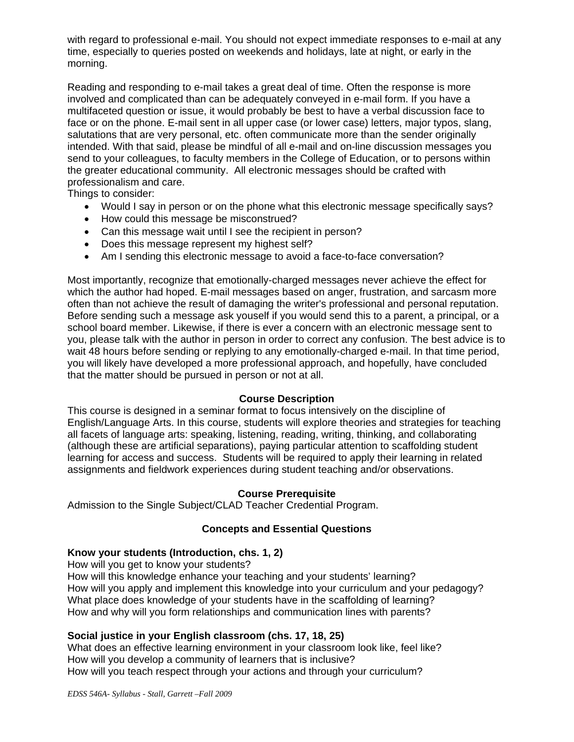with regard to professional e-mail. You should not expect immediate responses to e-mail at any time, especially to queries posted on weekends and holidays, late at night, or early in the morning.

Reading and responding to e-mail takes a great deal of time. Often the response is more involved and complicated than can be adequately conveyed in e-mail form. If you have a multifaceted question or issue, it would probably be best to have a verbal discussion face to face or on the phone. E-mail sent in all upper case (or lower case) letters, major typos, slang, salutations that are very personal, etc. often communicate more than the sender originally intended. With that said, please be mindful of all e-mail and on-line discussion messages you send to your colleagues, to faculty members in the College of Education, or to persons within the greater educational community. All electronic messages should be crafted with professionalism and care.

Things to consider:

- Would I say in person or on the phone what this electronic message specifically says?
- How could this message be misconstrued?
- Can this message wait until I see the recipient in person?
- Does this message represent my highest self?
- Am I sending this electronic message to avoid a face-to-face conversation?

Most importantly, recognize that emotionally-charged messages never achieve the effect for which the author had hoped. E-mail messages based on anger, frustration, and sarcasm more often than not achieve the result of damaging the writer's professional and personal reputation. Before sending such a message ask youself if you would send this to a parent, a principal, or a school board member. Likewise, if there is ever a concern with an electronic message sent to you, please talk with the author in person in order to correct any confusion. The best advice is to wait 48 hours before sending or replying to any emotionally-charged e-mail. In that time period, you will likely have developed a more professional approach, and hopefully, have concluded that the matter should be pursued in person or not at all.

#### **Course Description**

This course is designed in a seminar format to focus intensively on the discipline of English/Language Arts. In this course, students will explore theories and strategies for teaching all facets of language arts: speaking, listening, reading, writing, thinking, and collaborating (although these are artificial separations), paying particular attention to scaffolding student learning for access and success. Students will be required to apply their learning in related assignments and fieldwork experiences during student teaching and/or observations.

## **Course Prerequisite**

Admission to the Single Subject/CLAD Teacher Credential Program.

## **Concepts and Essential Questions**

## **Know your students (Introduction, chs. 1, 2)**

How will you get to know your students?

How will this knowledge enhance your teaching and your students' learning? How will you apply and implement this knowledge into your curriculum and your pedagogy? What place does knowledge of your students have in the scaffolding of learning? How and why will you form relationships and communication lines with parents?

## **Social justice in your English classroom (chs. 17, 18, 25)**

What does an effective learning environment in your classroom look like, feel like? How will you develop a community of learners that is inclusive? How will you teach respect through your actions and through your curriculum?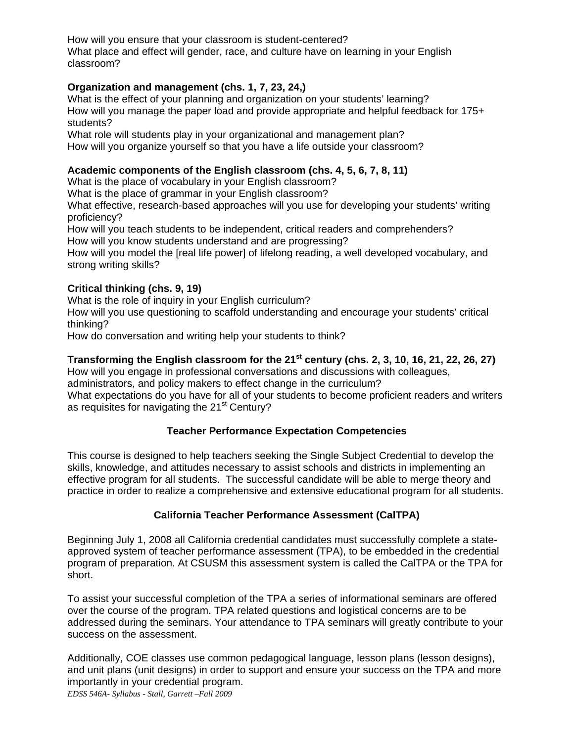How will you ensure that your classroom is student-centered? What place and effect will gender, race, and culture have on learning in your English classroom?

# **Organization and management (chs. 1, 7, 23, 24,)**

What is the effect of your planning and organization on your students' learning? How will you manage the paper load and provide appropriate and helpful feedback for 175+ students?

What role will students play in your organizational and management plan? How will you organize yourself so that you have a life outside your classroom?

## **Academic components of the English classroom (chs. 4, 5, 6, 7, 8, 11)**

What is the place of vocabulary in your English classroom?

What is the place of grammar in your English classroom?

 proficiency? What effective, research-based approaches will you use for developing your students' writing

How will you teach students to be independent, critical readers and comprehenders? How will you know students understand and are progressing?

How will you model the [real life power] of lifelong reading, a well developed vocabulary, and strong writing skills?

# **Critical thinking (chs. 9, 19)**

What is the role of inquiry in your English curriculum?

How will you use questioning to scaffold understanding and encourage your students' critical thinking?

How do conversation and writing help your students to think?

## Transforming the English classroom for the 21<sup>st</sup> century (chs. 2, 3, 10, 16, 21, 22, 26, 27)

How will you engage in professional conversations and discussions with colleagues, administrators, and policy makers to effect change in the curriculum?

What expectations do you have for all of your students to become proficient readers and writers as requisites for navigating the 21<sup>st</sup> Century?

## **Teacher Performance Expectation Competencies**

This course is designed to help teachers seeking the Single Subject Credential to develop the skills, knowledge, and attitudes necessary to assist schools and districts in implementing an effective program for all students. The successful candidate will be able to merge theory and practice in order to realize a comprehensive and extensive educational program for all students.

## **California Teacher Performance Assessment (CalTPA)**

Beginning July 1, 2008 all California credential candidates must successfully complete a stateapproved system of teacher performance assessment (TPA), to be embedded in the credential program of preparation. At CSUSM this assessment system is called the CalTPA or the TPA for short.

To assist your successful completion of the TPA a series of informational seminars are offered over the course of the program. TPA related questions and logistical concerns are to be addressed during the seminars. Your attendance to TPA seminars will greatly contribute to your success on the assessment.

Additionally, COE classes use common pedagogical language, lesson plans (lesson designs), and unit plans (unit designs) in order to support and ensure your success on the TPA and more importantly in your credential program.

*EDSS 546A- Syllabus - Stall, Garrett –Fall 2009*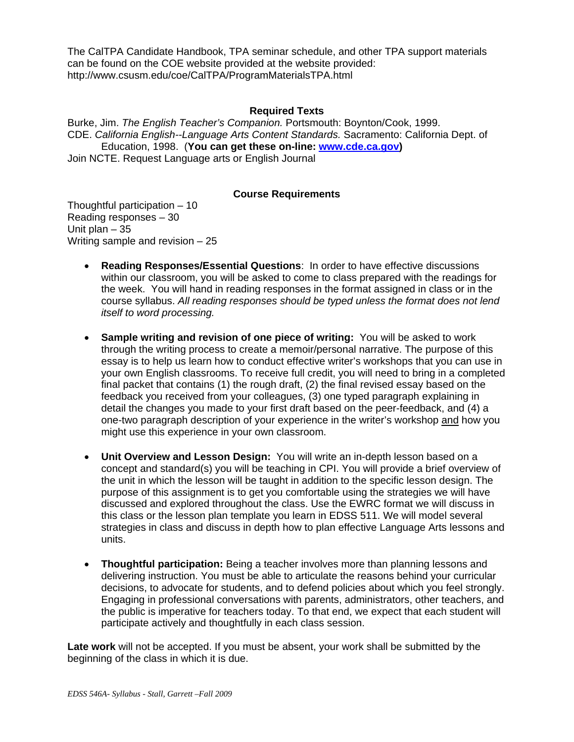The CalTPA Candidate Handbook, TPA seminar schedule, and other TPA support materials can be found on the COE website provided at the website provided: http://www.csusm.edu/coe/CalTPA/ProgramMaterialsTPA.html

#### **Required Texts**

Burke, Jim. *The English Teacher's Companion.* Portsmouth: Boynton/Cook, 1999. CDE. *California English--Language Arts Content Standards.* Sacramento: California Dept. of Education, 1998. (**You can get these on-line: www.cde.ca.gov)**  Join NCTE. Request Language arts or English Journal

#### **Course Requirements**

Thoughtful participation – 10 Reading responses – 30 Unit plan – 35 Writing sample and revision – 25

- **Reading Responses/Essential Questions: In order to have effective discussions** within our classroom, you will be asked to come to class prepared with the readings for the week. You will hand in reading responses in the format assigned in class or in the course syllabus. *All reading responses should be typed unless the format does not lend itself to word processing.*
- **Sample writing and revision of one piece of writing:** You will be asked to work through the writing process to create a memoir/personal narrative. The purpose of this essay is to help us learn how to conduct effective writer's workshops that you can use in your own English classrooms. To receive full credit, you will need to bring in a completed final packet that contains (1) the rough draft, (2) the final revised essay based on the feedback you received from your colleagues, (3) one typed paragraph explaining in detail the changes you made to your first draft based on the peer-feedback, and (4) a one-two paragraph description of your experience in the writer's workshop and how you might use this experience in your own classroom.
- • **Unit Overview and Lesson Design:** You will write an in-depth lesson based on a concept and standard(s) you will be teaching in CPI. You will provide a brief overview of the unit in which the lesson will be taught in addition to the specific lesson design. The purpose of this assignment is to get you comfortable using the strategies we will have discussed and explored throughout the class. Use the EWRC format we will discuss in this class or the lesson plan template you learn in EDSS 511. We will model several strategies in class and discuss in depth how to plan effective Language Arts lessons and units.
- • **Thoughtful participation:** Being a teacher involves more than planning lessons and delivering instruction. You must be able to articulate the reasons behind your curricular decisions, to advocate for students, and to defend policies about which you feel strongly. Engaging in professional conversations with parents, administrators, other teachers, and the public is imperative for teachers today. To that end, we expect that each student will participate actively and thoughtfully in each class session.

**Late work** will not be accepted. If you must be absent, your work shall be submitted by the beginning of the class in which it is due.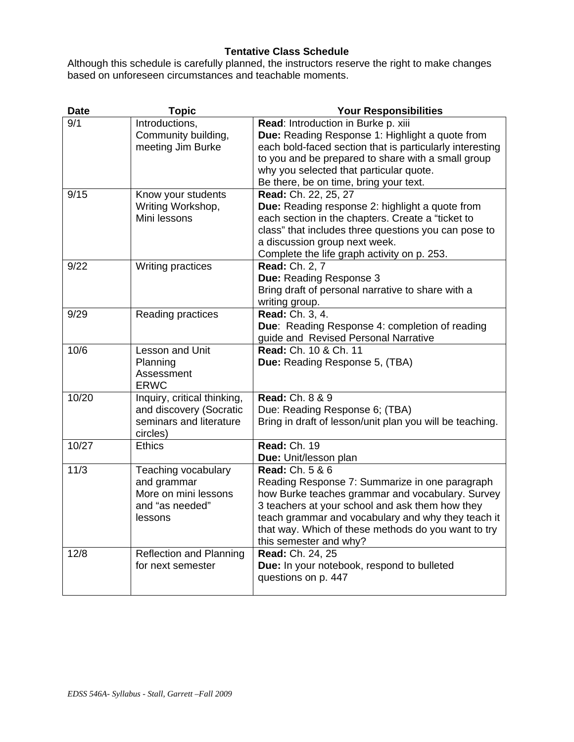# **Tentative Class Schedule**

Although this schedule is carefully planned, the instructors reserve the right to make changes based on unforeseen circumstances and teachable moments.

| <b>Date</b> | <b>Topic</b>                                                                                  | <b>Your Responsibilities</b>                                                                                                                                                                                                                                                                                               |  |  |  |
|-------------|-----------------------------------------------------------------------------------------------|----------------------------------------------------------------------------------------------------------------------------------------------------------------------------------------------------------------------------------------------------------------------------------------------------------------------------|--|--|--|
| 9/1         | Introductions,<br>Community building,<br>meeting Jim Burke                                    | Read: Introduction in Burke p. xiii<br>Due: Reading Response 1: Highlight a quote from<br>each bold-faced section that is particularly interesting<br>to you and be prepared to share with a small group<br>why you selected that particular quote.<br>Be there, be on time, bring your text.                              |  |  |  |
| 9/15        | Know your students<br>Writing Workshop,<br>Mini lessons                                       | Read: Ch. 22, 25, 27<br>Due: Reading response 2: highlight a quote from<br>each section in the chapters. Create a "ticket to<br>class" that includes three questions you can pose to<br>a discussion group next week.<br>Complete the life graph activity on p. 253.                                                       |  |  |  |
| 9/22        | Writing practices                                                                             | <b>Read: Ch. 2, 7</b><br>Due: Reading Response 3<br>Bring draft of personal narrative to share with a<br>writing group.                                                                                                                                                                                                    |  |  |  |
| 9/29        | Reading practices                                                                             | Read: Ch. 3, 4.<br>Due: Reading Response 4: completion of reading<br>guide and Revised Personal Narrative                                                                                                                                                                                                                  |  |  |  |
| 10/6        | Lesson and Unit<br>Planning<br>Assessment<br><b>ERWC</b>                                      | Read: Ch. 10 & Ch. 11<br>Due: Reading Response 5, (TBA)                                                                                                                                                                                                                                                                    |  |  |  |
| 10/20       | Inquiry, critical thinking,<br>and discovery (Socratic<br>seminars and literature<br>circles) | <b>Read: Ch. 8 &amp; 9</b><br>Due: Reading Response 6; (TBA)<br>Bring in draft of lesson/unit plan you will be teaching.                                                                                                                                                                                                   |  |  |  |
| 10/27       | <b>Ethics</b>                                                                                 | <b>Read: Ch. 19</b><br>Due: Unit/lesson plan                                                                                                                                                                                                                                                                               |  |  |  |
| 11/3        | Teaching vocabulary<br>and grammar<br>More on mini lessons<br>and "as needed"<br>lessons      | <b>Read: Ch. 5 &amp; 6</b><br>Reading Response 7: Summarize in one paragraph<br>how Burke teaches grammar and vocabulary. Survey<br>3 teachers at your school and ask them how they<br>teach grammar and vocabulary and why they teach it<br>that way. Which of these methods do you want to try<br>this semester and why? |  |  |  |
| 12/8        | <b>Reflection and Planning</b><br>for next semester                                           | Read: Ch. 24, 25<br>Due: In your notebook, respond to bulleted<br>questions on p. 447                                                                                                                                                                                                                                      |  |  |  |